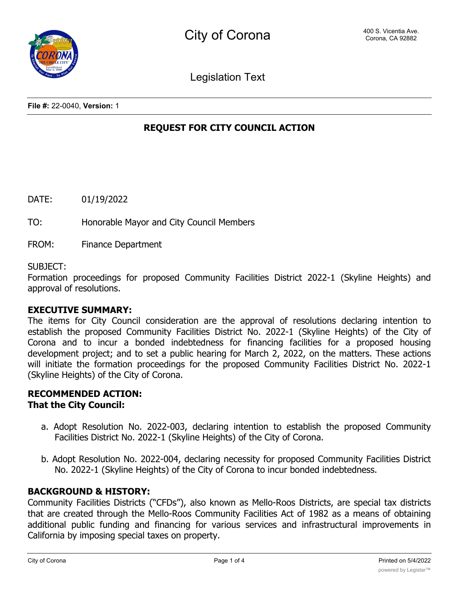Legislation Text

**File #:** 22-0040, **Version:** 1

# **REQUEST FOR CITY COUNCIL ACTION**

DATE: 01/19/2022

TO: Honorable Mayor and City Council Members

FROM: Finance Department

SUBJECT:

Formation proceedings for proposed Community Facilities District 2022-1 (Skyline Heights) and approval of resolutions.

### **EXECUTIVE SUMMARY:**

The items for City Council consideration are the approval of resolutions declaring intention to establish the proposed Community Facilities District No. 2022-1 (Skyline Heights) of the City of Corona and to incur a bonded indebtedness for financing facilities for a proposed housing development project; and to set a public hearing for March 2, 2022, on the matters. These actions will initiate the formation proceedings for the proposed Community Facilities District No. 2022-1 (Skyline Heights) of the City of Corona.

## **RECOMMENDED ACTION: That the City Council:**

- a. Adopt Resolution No. 2022-003, declaring intention to establish the proposed Community Facilities District No. 2022-1 (Skyline Heights) of the City of Corona.
- b. Adopt Resolution No. 2022-004, declaring necessity for proposed Community Facilities District No. 2022-1 (Skyline Heights) of the City of Corona to incur bonded indebtedness.

## **BACKGROUND & HISTORY:**

Community Facilities Districts ("CFDs"), also known as Mello-Roos Districts, are special tax districts that are created through the Mello-Roos Community Facilities Act of 1982 as a means of obtaining additional public funding and financing for various services and infrastructural improvements in California by imposing special taxes on property.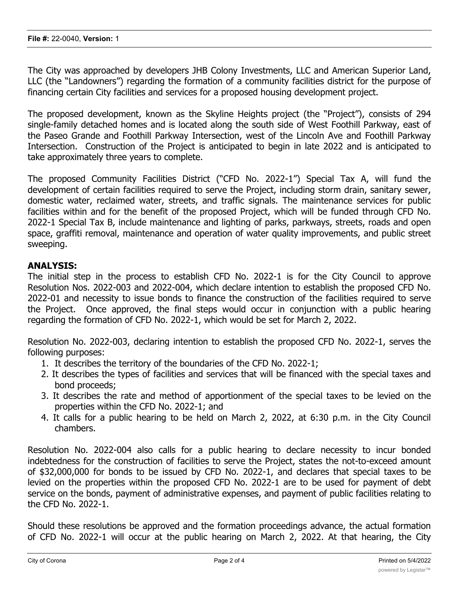The City was approached by developers JHB Colony Investments, LLC and American Superior Land, LLC (the "Landowners") regarding the formation of a community facilities district for the purpose of financing certain City facilities and services for a proposed housing development project.

The proposed development, known as the Skyline Heights project (the "Project"), consists of 294 single-family detached homes and is located along the south side of West Foothill Parkway, east of the Paseo Grande and Foothill Parkway Intersection, west of the Lincoln Ave and Foothill Parkway Intersection. Construction of the Project is anticipated to begin in late 2022 and is anticipated to take approximately three years to complete.

The proposed Community Facilities District ("CFD No. 2022-1") Special Tax A, will fund the development of certain facilities required to serve the Project, including storm drain, sanitary sewer, domestic water, reclaimed water, streets, and traffic signals. The maintenance services for public facilities within and for the benefit of the proposed Project, which will be funded through CFD No. 2022-1 Special Tax B, include maintenance and lighting of parks, parkways, streets, roads and open space, graffiti removal, maintenance and operation of water quality improvements, and public street sweeping.

## **ANALYSIS:**

The initial step in the process to establish CFD No. 2022-1 is for the City Council to approve Resolution Nos. 2022-003 and 2022-004, which declare intention to establish the proposed CFD No. 2022-01 and necessity to issue bonds to finance the construction of the facilities required to serve the Project. Once approved, the final steps would occur in conjunction with a public hearing regarding the formation of CFD No. 2022-1, which would be set for March 2, 2022.

Resolution No. 2022-003, declaring intention to establish the proposed CFD No. 2022-1, serves the following purposes:

- 1. It describes the territory of the boundaries of the CFD No. 2022-1;
- 2. It describes the types of facilities and services that will be financed with the special taxes and bond proceeds;
- 3. It describes the rate and method of apportionment of the special taxes to be levied on the properties within the CFD No. 2022-1; and
- 4. It calls for a public hearing to be held on March 2, 2022, at 6:30 p.m. in the City Council chambers.

Resolution No. 2022-004 also calls for a public hearing to declare necessity to incur bonded indebtedness for the construction of facilities to serve the Project, states the not-to-exceed amount of \$32,000,000 for bonds to be issued by CFD No. 2022-1, and declares that special taxes to be levied on the properties within the proposed CFD No. 2022-1 are to be used for payment of debt service on the bonds, payment of administrative expenses, and payment of public facilities relating to the CFD No. 2022-1.

Should these resolutions be approved and the formation proceedings advance, the actual formation of CFD No. 2022-1 will occur at the public hearing on March 2, 2022. At that hearing, the City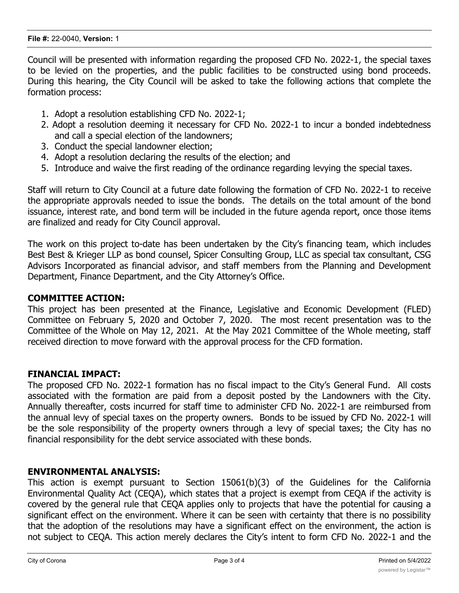#### **File #:** 22-0040, **Version:** 1

Council will be presented with information regarding the proposed CFD No. 2022-1, the special taxes to be levied on the properties, and the public facilities to be constructed using bond proceeds. During this hearing, the City Council will be asked to take the following actions that complete the formation process:

- 1. Adopt a resolution establishing CFD No. 2022-1;
- 2. Adopt a resolution deeming it necessary for CFD No. 2022-1 to incur a bonded indebtedness and call a special election of the landowners;
- 3. Conduct the special landowner election;
- 4. Adopt a resolution declaring the results of the election; and
- 5. Introduce and waive the first reading of the ordinance regarding levying the special taxes.

Staff will return to City Council at a future date following the formation of CFD No. 2022-1 to receive the appropriate approvals needed to issue the bonds. The details on the total amount of the bond issuance, interest rate, and bond term will be included in the future agenda report, once those items are finalized and ready for City Council approval.

The work on this project to-date has been undertaken by the City's financing team, which includes Best Best & Krieger LLP as bond counsel, Spicer Consulting Group, LLC as special tax consultant, CSG Advisors Incorporated as financial advisor, and staff members from the Planning and Development Department, Finance Department, and the City Attorney's Office.

### **COMMITTEE ACTION:**

This project has been presented at the Finance, Legislative and Economic Development (FLED) Committee on February 5, 2020 and October 7, 2020. The most recent presentation was to the Committee of the Whole on May 12, 2021. At the May 2021 Committee of the Whole meeting, staff received direction to move forward with the approval process for the CFD formation.

### **FINANCIAL IMPACT:**

The proposed CFD No. 2022-1 formation has no fiscal impact to the City's General Fund. All costs associated with the formation are paid from a deposit posted by the Landowners with the City. Annually thereafter, costs incurred for staff time to administer CFD No. 2022-1 are reimbursed from the annual levy of special taxes on the property owners. Bonds to be issued by CFD No. 2022-1 will be the sole responsibility of the property owners through a levy of special taxes; the City has no financial responsibility for the debt service associated with these bonds.

### **ENVIRONMENTAL ANALYSIS:**

This action is exempt pursuant to Section 15061(b)(3) of the Guidelines for the California Environmental Quality Act (CEQA), which states that a project is exempt from CEQA if the activity is covered by the general rule that CEQA applies only to projects that have the potential for causing a significant effect on the environment. Where it can be seen with certainty that there is no possibility that the adoption of the resolutions may have a significant effect on the environment, the action is not subject to CEQA. This action merely declares the City's intent to form CFD No. 2022-1 and the